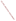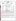#### **THE ENVIRONMENTAL TECHNOLOGY VERIFICATION**





# **ETV Joint Verification Statement**

**Battelle** The Business of Innovation

|                                               | <b>TECHNOLOGY TYPE: Ballast Water Exchange Screening Tool</b>                                        |             |                                           |
|-----------------------------------------------|------------------------------------------------------------------------------------------------------|-------------|-------------------------------------------|
| <b>APPLICATION:</b>                           | <b>Screening Ballast Water for Fluorescence of Colored</b><br><b>Dissolved Organic Matter (CDOM)</b> |             |                                           |
| <b>TECHNOLOGY</b><br><b>NAME:</b>             | <b>Ballast Water Exchange Assurance Meter (BEAM) 100</b>                                             |             |                                           |
| <b>COMPANY:</b>                               | Dakota Technologies, Inc.                                                                            |             |                                           |
| <b>ADDRESS:</b>                               | 2201-A 12 St. N.<br>Fargo, ND 58102                                                                  | <b>FAX:</b> | PHONE: (701) 237-4908<br>$(701)$ 237-4926 |
| <b>WEB SITE:</b><br>$E\text{-}{M}\text{A}IL:$ | www.dakotatechnologies.com<br>info@dakotatechnologies.com                                            |             |                                           |

The U.S. Environmental Protection Agency (EPA) has established the Environmental Technology Verification (ETV) Program to facilitate the deployment of innovative or improved environmental technologies through performance verification and dissemination of information. The goal of the ETV Program is to further environmental protection by accelerating the acceptance and use of improved and cost-effective technologies. ETV seeks to achieve this goal by providing high-quality, peer-reviewed data on technology performance to those involved in the design, distribution, financing, permitting, purchase, and use of environmental technologies. Information and ETV documents are available at www.epa.gov/etv.

ETV works in partnership with recognized standards and testing organizations, with stakeholder groups (consisting of buyers, vendor organizations, and permitters), and with individual technology developers. The program evaluates the performance of innovative technologies by developing test plans that are responsive to the needs of stakeholders, conducting field or laboratory tests (as appropriate), collecting and analyzing data, and preparing peer-reviewed reports. All evaluations are conducted in accordance with rigorous quality assurance (QA) protocols to ensure that data of known and adequate quality are generated and that the results are defensible.

The Advanced Monitoring Systems (AMS) Center, one of six technology areas under ETV, is operated by Battelle in cooperation with EPA's National Exposure Research Laboratory. The AMS Center evaluated the performance of the Dakota Technologies, Inc. Ballast Water Exchange Assurance Meter (BEAM) 100. This verification statement provides a summary of the test results.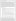#### **VERIFICATION TEST DESCRIPTION**

To support ballast water exchange (BWE) regulations, accurate and portable verification tools are needed to determine that BWE has taken place. One parameter proposed as a means of distinguishing between coastal and open-ocean water content in ballast water is fluorescence due to colored dissolved organic matter (CDOM). CDOM refers to the fraction of dissolved organic matter that absorbs light and fluoresces in the ultraviolet (UV) and visible regions of the spectrum. This verification test evaluated the performance of the BEAM 100 in measuring CDOM relative to a standard CDOM measurement approach using a laboratory bench-scale excitation-emission spectrometer under controlled laboratory conditions. The results from the BEAM instruments and reference method instrument were not expected to be exactly the same because of differences in type and efficiency of gratings, detectors, the light source, and other conditions that vary from instrument to instrument. However, the instrumental differences can be partially compensated for by correlating the BEAM and reference method results based on the relationship between standards analyzed on each instrument. For ETV testing, quinine sulfate standards were used to generate a correlation between the BEAMs and the reference method. Both laboratory-prepared, performance test (PT) samples and real-world open-ocean and coastal environmental samples were used for testing. This test did not verify that the BEAM 100 successfully quantified CDOM concentrations or detected BWE, but rather evaluated how well it measured fluorescence from CDOM compared with a standard technique for measuring fluorescence. This test also did not represent all types of waters that may be encountered in BWE screening, but a range of water (and subsequently the range of fluorescence measurements generated from various types of water) that may be expected in practical application.

The BEAM 100 was evaluated by:

- Accuracy—Comparison of the percent difference (PD) between BEAM 100 CDOM measurement to CDOM measurements generated by a Varian Cary Eclipse Spectrometer with both instruments at ambient laboratory temperature (approximately 24°C).
- Linearity—CDOM measurements from varying concentrations of standard analytes known to fluoresce plotted against the analyte concentration. Linearity was evaluated based on linear regression statistics (i.e., the slope and correlation coefficients  $[R^2]$ ).
- Precision—The relative standard deviation (RSD) of triplicate measurements of the same sample.
- Method detection limit (MDL)—Analysis of seven replicates of known fluorescing analytes at a concentration five times Dakota Technologies, Inc.'s expected detection limit for the analyte.
- Inter-unit reproducibility—Relative percent difference (RPD) between the average of triplicate CDOM measurements of the same sample taken at the same temperature made using two different BEAM 100 units.
- Temperature effects—Comparison of the BEAM 100 CDOM measurements at approximately 4 degrees Celsius ( $^{\circ}$ C) and 34 $^{\circ}$ C with CDOM measurements at ambient laboratory temperature (approximately 24 $^{\circ}$ C).
- Matrix effects—Evaluated by comparing the percent difference (PD) of the BEAM 100 measurements with the Varian Cary Eclipse spectrometer measurements for the various types of samples analyzed during verification testing.
- Data completeness—The number of valid measurements out of the total number of measurements taken.
- Operational factors—Observations and records related to maintenance needs, calibration frequency, data output, consumables used, ease of use, repair requirements, waste production, and sample throughput.

The PT samples (quinine sulfate and Suwanee River [SR] fulvic acid solutions) and environmental samples from 12 separate locations in the U.S. and Canada were analyzed in triplicate with the BEAM 100 and compared with triplicate measurements taken with the reference method. These samples were evaluated for accuracy by comparing expected responses based on the reference method CDOM analyses which were correlated to BEAM measurements based on the response to quinine sulfate standards in both instruments, instrument linearity across the range of concentrations tested, and precision among the replicate measurements obtained. Two BEAM 100 units were used to measure the test samples. Measurements of aliquots of the same sample were taken sequentially with the two units and with the reference method within minutes of each other. Inter-unit reproducibility was evaluated based on the measurements taken with the two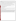BEAM units. All measurements made for direct comparison with the reference method were conducted at ambient room temperature.

Because these technologies will be used in a wide range of temperatures in practical application and because temperature can affect CDOM fluorescence, a subset of test samples was analyzed using only the BEAM 100 units at two additional temperatures (approximately 4°C and 34°C) to evaluate the BEAM 100's variability due to temperature effects. Testing at 4°C took place inside a walk-in refrigerator and testing at 34°C took place inside a heated chamber.

Quality control samples included negative control samples (Burdick and Jackson HPLC grade water), positive control samples (5,000 parts per billion [ppb] SR fulvic acid), and a continuing calibration check (10 ppb quinine sulfate).

QA oversight of verification testing was provided by Battelle and EPA. Battelle QA staff conducted a technical systems audit, a performance evaluation audit, and a data quality audit of 10% of the test data.

This verification statement, the full report on which it is based, and the test/QA plan for this verification test are all available at [www.epa.gov/etv/centers/center1.html.](http://www.epa.gov/etv/centers/center1.html)

### **TECHNOLOGY DESCRIPTION**

The following description of the BEAM 100 is based on information provided by the vendor. This technology description was not verified in this test.

The BEAM 100 is a portable, handheld fluorimeter designed to generate a response relative to the amount of CDOM in ballast water. The CDOM related response is determined by exciting the sample with near UV light and measuring the resulting fluorescence to Raman scatter ratio.

The unit consists of a cuvette well permanently mounted in the BEAM. The BEAM is operated through four user-interface buttons. Acquired data are shown in a display screen and can be transferred to a personal computer for long-term storage. Internally, the BEAM consists of electronics; a light-emitting diode used as an excitation source; and two photodetectors, each with different wavelength filters. All measurements are recorded to the BEAM's internal memory. The BEAM's durable plastic carrying case includes space for cuvette cleaning and sample filtering accessories. The BEAM unit is 10.5 by 4.5 by 3.0 inches and weighs 2.5 pounds (with batteries). The carrying case is 16 by 12 by 7 inches and weighs approximately 10 pounds with the BEAM unit and kit supplies in place. The BEAM 100 costs approximately \$6,000 per unit.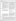## **VERIFICATION RESULTS**

| <b>Performance</b><br>Factor  | <b>Sample Information</b>                                                                                                                                                                                                                                                                                                                                                                                                                                                                                                                                                                                                                                                                                                                                                                                                                                                                                                                                                                                         | <b>Result</b>                                                                                                                                                                                                                                                                                                                                                                                               |  |  |  |  |
|-------------------------------|-------------------------------------------------------------------------------------------------------------------------------------------------------------------------------------------------------------------------------------------------------------------------------------------------------------------------------------------------------------------------------------------------------------------------------------------------------------------------------------------------------------------------------------------------------------------------------------------------------------------------------------------------------------------------------------------------------------------------------------------------------------------------------------------------------------------------------------------------------------------------------------------------------------------------------------------------------------------------------------------------------------------|-------------------------------------------------------------------------------------------------------------------------------------------------------------------------------------------------------------------------------------------------------------------------------------------------------------------------------------------------------------------------------------------------------------|--|--|--|--|
| Accuracy                      | Five concentrations of quinine sulfate prepared in Burdick and<br>Jackson HPLC grade water per ASTM E579-04 (QS) plus one<br>unspiked blank; five concentrations of Suwannee River fulvic<br>acid (SRFA) plus one unspiked blank; and 12 environmental<br>(natural water) samples. All testing was performed at<br>approximately 24°C.                                                                                                                                                                                                                                                                                                                                                                                                                                                                                                                                                                                                                                                                            | PD from reference method measurements (using a quinine<br>sulfate <sup>A</sup> correlation between the BEAM and reference<br>method results) was less than 20% for both QS and SRFA<br>samples, except for the unspiked, blank samples. PD was<br>also less than 20% for environmental samples. PD values<br>increased with lower measurements of CDOM.                                                     |  |  |  |  |
| Linearity                     | Five concentrations of QS plus one unspiked blank; five<br>concentrations of SRFA plus one unspiked blank. All testing<br>was performed at approximately 24°C.                                                                                                                                                                                                                                                                                                                                                                                                                                                                                                                                                                                                                                                                                                                                                                                                                                                    | Individual signals at 460 nanometers (nm) and 430 nm<br>were linear across the concentrations tested and had $R^2$<br>values >0.99 for both QS and SRFA test solutions.                                                                                                                                                                                                                                     |  |  |  |  |
| Precision                     | Five concentrations of QS plus one unspiked blank; five<br>concentrations of SRFA plus one unspiked blank; and 12<br>environmental (natural water) samples. Testing was performed<br>at approximately $24^{\circ}$ C, $4^{\circ}$ C, and $34^{\circ}$ C.                                                                                                                                                                                                                                                                                                                                                                                                                                                                                                                                                                                                                                                                                                                                                          | RSD of triplicate measurements of each test sample was<br><10% except for low CDOM concentration samples such<br>as the unspiked blank samples for which the highest RSD<br>was 22.9%.                                                                                                                                                                                                                      |  |  |  |  |
| <b>MDL</b>                    | Seven replicates of 1 ppb QS and seven replicates of 100 ppb<br>SRFA analyzed following 40 CFR 136 Appendix B<br>procedures. Concentrations were set at 5 times the vendor-<br>specified detection limit for each compound. All testing was<br>performed at approximately 24°C.                                                                                                                                                                                                                                                                                                                                                                                                                                                                                                                                                                                                                                                                                                                                   | Calculated MDLs were lower than the unspiked blank<br>sample CDOM values $(<0.01$ ) and may not represent<br>practical detection limits. The BEAMs detected CDOM<br>values $<$ 0.06 to 0.07, which were the CDOM values of the<br>lowest concentration QS and SRFA analyzed.                                                                                                                                |  |  |  |  |
| Inter-unit<br>Reproducibility | All test samples. Testing was performed at approximately<br>24°C, 4°C, and 34°C.                                                                                                                                                                                                                                                                                                                                                                                                                                                                                                                                                                                                                                                                                                                                                                                                                                                                                                                                  | RPD values between the average of triplicate<br>measurements were mostly <10% at all testing<br>temperatures. RPD increased as CDOM concentration<br>decreased.                                                                                                                                                                                                                                             |  |  |  |  |
| Temperature<br>Effects        | Five concentrations of QS plus one unspiked blank; five<br>concentrations of SRFA plus one unspiked blank.<br>Testing was performed at temperature extremes of<br>approximately 4°C and 34°C and compared with results<br>obtained at approximately 24°C (ambient conditions).                                                                                                                                                                                                                                                                                                                                                                                                                                                                                                                                                                                                                                                                                                                                    | For the spiked samples, PD values ranged as follows:<br>QS solutions: 0.4 to 6.7% for $4^{\circ}$ C vs $24^{\circ}$ C<br>0.9 to 31.9% for 34°C vs 24°C<br>SRFA solutions: 25.9 to 98.3% for 4°C vs 24°C<br>2.1 to 22.9% for 34°C vs 24°C                                                                                                                                                                    |  |  |  |  |
|                               |                                                                                                                                                                                                                                                                                                                                                                                                                                                                                                                                                                                                                                                                                                                                                                                                                                                                                                                                                                                                                   | For the unspiked blanks, the PD values ranged from 13.0 to<br>95.7%.<br>The results indicate that temperature changes can cause<br>deviations in performance and illustrate the importance of<br>calibrating the BEAM units at the testing temperature.                                                                                                                                                     |  |  |  |  |
| Matrix Effects                | Five concentrations of QS plus one unspiked blank; five<br>concentrations of SRFA plus one unspiked blank; and 12<br>environmental (natural water) samples. All testing was<br>performed at approximately 24°C. The accuracy PD<br>measurements comparing BEAM CDOM values to reference<br>method values (using a quinine sulfate correlation between the<br>BEAM and reference method results) of the same solution<br>were evaluated for differences between matrix type.                                                                                                                                                                                                                                                                                                                                                                                                                                                                                                                                       | Distinct differences in correlation to reference method<br>values were observed based on matrix type. Environmental<br>samples and fulvic acid samples were between 2 and 20%<br>PD from BEAM equivalent reference method<br>measurements (using a quinine sulfate <sup>A</sup> correlation<br>between the BEAM and reference method results), whereas<br>quinine sulfate samples were all less than 5% PD. |  |  |  |  |
| Data<br>Completeness          | All test samples.                                                                                                                                                                                                                                                                                                                                                                                                                                                                                                                                                                                                                                                                                                                                                                                                                                                                                                                                                                                                 | Data completeness was 100%.                                                                                                                                                                                                                                                                                                                                                                                 |  |  |  |  |
| Operational<br>Factors        | The BEAM 100 units were portable, convenient, and easy to use. Written instructions were clear. Sample throughput was<br>20 to 25 samples/hour. Sample and rinse water waste $\langle 22 \rangle$ milliliters) were generated per sample. Factors limiting<br>continuous operation of the BEAM include battery life (six AA batteries were replaced after ~100 measurements), BEAM<br>internal memory size (data are overwritten after 256 measurements), access to distilled water (rinse bottle provided with<br>BEAM holds enough distilled water for ~15 samples), and operator hand strength (each sample must be filtered through a<br>0.45-micron filter). Technical difficulties with displays and system interlocks resulted in the vendor replacing one BEAM<br>unit during testing. Technical difficulties increased when testing at approximately 4°C, and 34°C. Not enough BEAM units<br>were evaluated to know whether these technical difficulties indicate more than a random instrument failure. |                                                                                                                                                                                                                                                                                                                                                                                                             |  |  |  |  |
|                               | Quinine sulfate was selected to correlate the BEAM and reference instruments because of its use as a spectroscopic standard. Use of other<br>standards with properties closer to the environmental samples may have improved PD values for the environmental samples; however, this<br>was not verified as part of this test.                                                                                                                                                                                                                                                                                                                                                                                                                                                                                                                                                                                                                                                                                     |                                                                                                                                                                                                                                                                                                                                                                                                             |  |  |  |  |